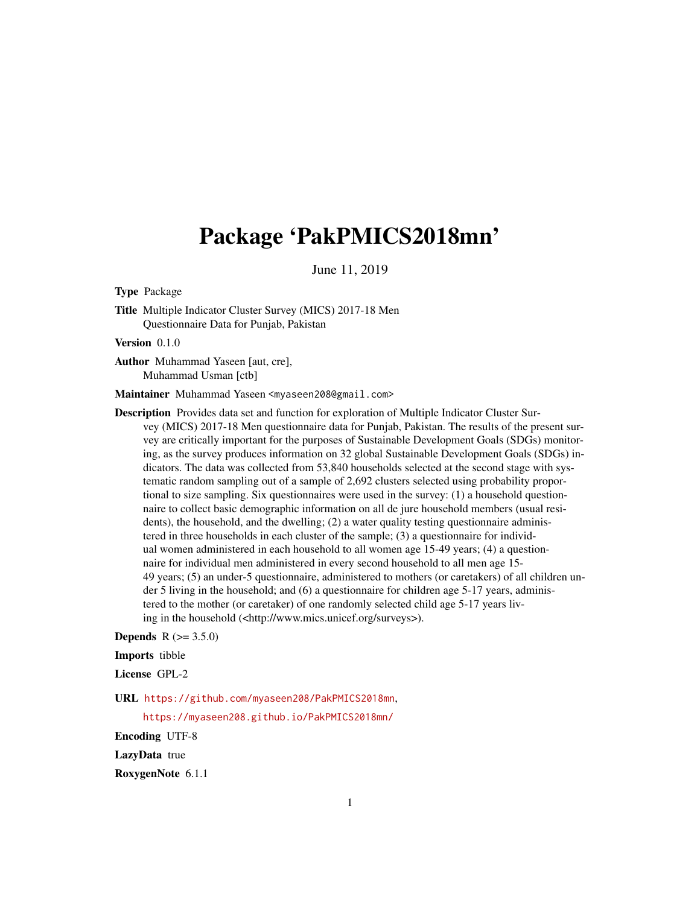## Package 'PakPMICS2018mn'

June 11, 2019

Type Package

Title Multiple Indicator Cluster Survey (MICS) 2017-18 Men Questionnaire Data for Punjab, Pakistan

Version 0.1.0

Author Muhammad Yaseen [aut, cre], Muhammad Usman [ctb]

Maintainer Muhammad Yaseen <myaseen208@gmail.com>

Description Provides data set and function for exploration of Multiple Indicator Cluster Survey (MICS) 2017-18 Men questionnaire data for Punjab, Pakistan. The results of the present survey are critically important for the purposes of Sustainable Development Goals (SDGs) monitoring, as the survey produces information on 32 global Sustainable Development Goals (SDGs) indicators. The data was collected from 53,840 households selected at the second stage with systematic random sampling out of a sample of 2,692 clusters selected using probability proportional to size sampling. Six questionnaires were used in the survey: (1) a household questionnaire to collect basic demographic information on all de jure household members (usual residents), the household, and the dwelling; (2) a water quality testing questionnaire administered in three households in each cluster of the sample; (3) a questionnaire for individual women administered in each household to all women age 15-49 years; (4) a questionnaire for individual men administered in every second household to all men age 15- 49 years; (5) an under-5 questionnaire, administered to mothers (or caretakers) of all children under 5 living in the household; and (6) a questionnaire for children age 5-17 years, administered to the mother (or caretaker) of one randomly selected child age 5-17 years living in the household (<http://www.mics.unicef.org/surveys>).

**Depends**  $R (= 3.5.0)$ 

#### Imports tibble

License GPL-2

URL <https://github.com/myaseen208/PakPMICS2018mn>,

<https://myaseen208.github.io/PakPMICS2018mn/>

Encoding UTF-8

LazyData true

RoxygenNote 6.1.1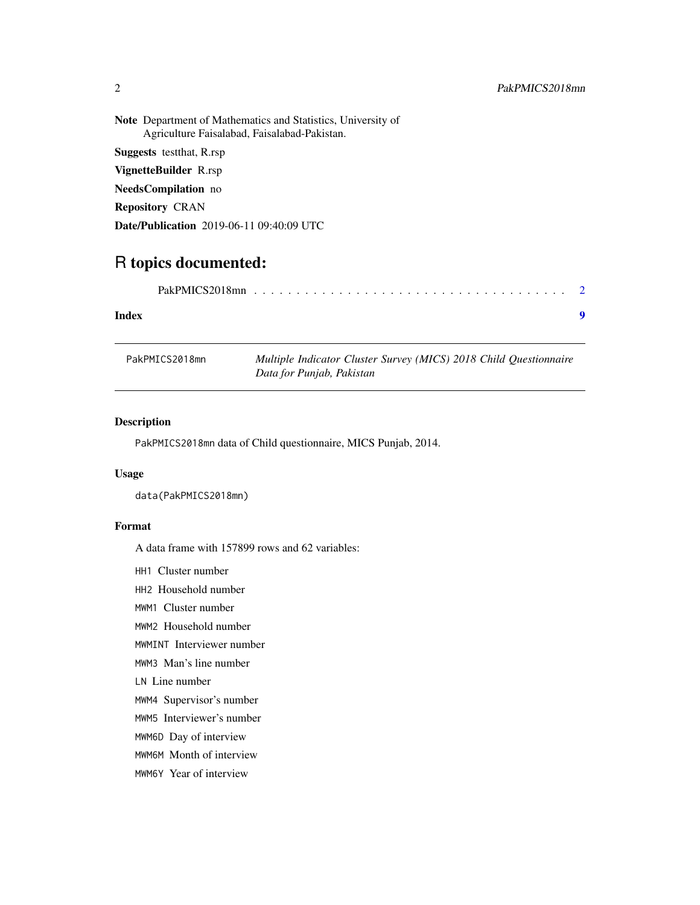<span id="page-1-0"></span>Note Department of Mathematics and Statistics, University of Agriculture Faisalabad, Faisalabad-Pakistan. Suggests testthat, R.rsp VignetteBuilder R.rsp NeedsCompilation no Repository CRAN Date/Publication 2019-06-11 09:40:09 UTC

### R topics documented:

|--|--|--|--|--|--|--|--|--|--|--|--|--|--|--|--|--|--|--|--|--|--|--|--|--|--|--|--|--|--|--|--|--|--|--|--|--|--|--|--|--|

#### **Index** [9](#page-8-0)

| PakPMICS2018mn | Multiple Indicator Cluster Survey (MICS) 2018 Child Questionnaire |  |  |  |  |
|----------------|-------------------------------------------------------------------|--|--|--|--|
|                | Data for Punjab, Pakistan                                         |  |  |  |  |

#### Description

PakPMICS2018mn data of Child questionnaire, MICS Punjab, 2014.

#### Usage

data(PakPMICS2018mn)

#### Format

A data frame with 157899 rows and 62 variables:

- HH1 Cluster number
- HH2 Household number
- MWM1 Cluster number
- MWM2 Household number
- MWMINT Interviewer number
- MWM3 Man's line number

LN Line number

- MWM4 Supervisor's number
- MWM5 Interviewer's number
- MWM6D Day of interview
- MWM6M Month of interview
- MWM6Y Year of interview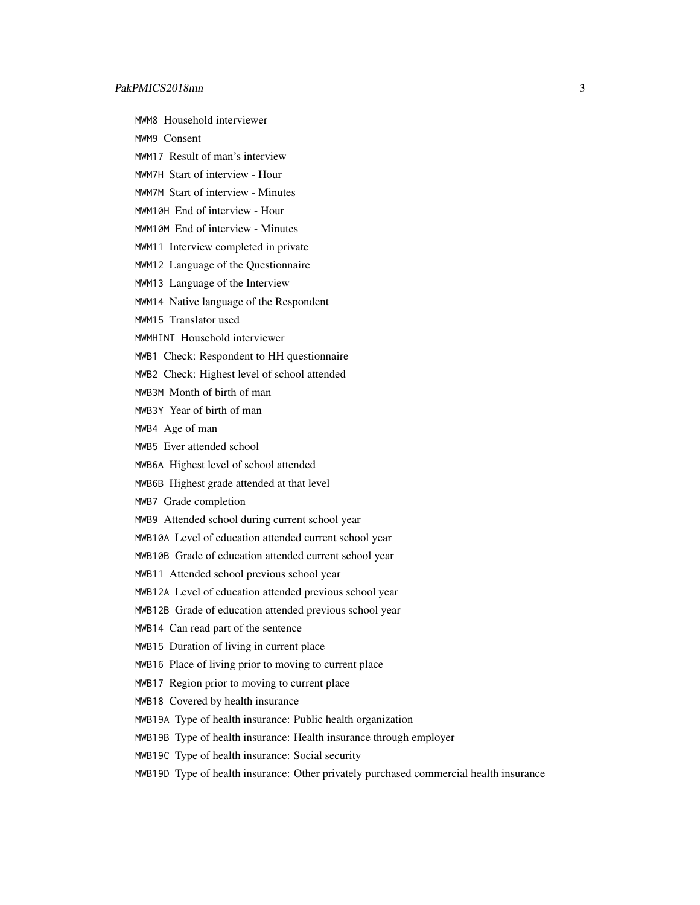MWM8 Household interviewer

MWM9 Consent

- MWM17 Result of man's interview
- MWM7H Start of interview Hour
- MWM7M Start of interview Minutes
- MWM10H End of interview Hour
- MWM10M End of interview Minutes
- MWM11 Interview completed in private
- MWM12 Language of the Questionnaire
- MWM13 Language of the Interview
- MWM14 Native language of the Respondent
- MWM15 Translator used
- MWMHINT Household interviewer
- MWB1 Check: Respondent to HH questionnaire
- MWB2 Check: Highest level of school attended
- MWB3M Month of birth of man
- MWB3Y Year of birth of man
- MWB4 Age of man
- MWB5 Ever attended school
- MWB6A Highest level of school attended
- MWB6B Highest grade attended at that level
- MWB7 Grade completion
- MWB9 Attended school during current school year
- MWB10A Level of education attended current school year
- MWB10B Grade of education attended current school year
- MWB11 Attended school previous school year
- MWB12A Level of education attended previous school year
- MWB12B Grade of education attended previous school year
- MWB14 Can read part of the sentence
- MWB15 Duration of living in current place
- MWB16 Place of living prior to moving to current place
- MWB17 Region prior to moving to current place
- MWB18 Covered by health insurance
- MWB19A Type of health insurance: Public health organization
- MWB19B Type of health insurance: Health insurance through employer
- MWB19C Type of health insurance: Social security
- MWB19D Type of health insurance: Other privately purchased commercial health insurance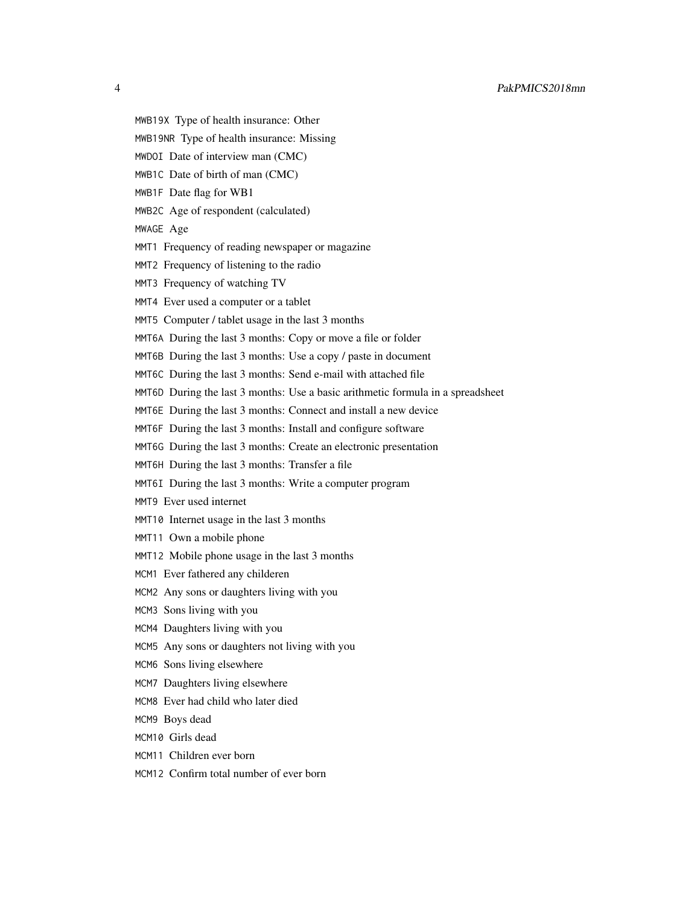4 PakPMICS2018mn

- 
- MWB19X Type of health insurance: Other
- MWB19NR Type of health insurance: Missing
- MWDOI Date of interview man (CMC)
- MWB1C Date of birth of man (CMC)
- MWB1F Date flag for WB1
- MWB2C Age of respondent (calculated)
- MWAGE Age
- MMT1 Frequency of reading newspaper or magazine
- MMT2 Frequency of listening to the radio
- MMT3 Frequency of watching TV
- MMT4 Ever used a computer or a tablet
- MMT5 Computer / tablet usage in the last 3 months
- MMT6A During the last 3 months: Copy or move a file or folder
- MMT6B During the last 3 months: Use a copy / paste in document
- MMT6C During the last 3 months: Send e-mail with attached file
- MMT6D During the last 3 months: Use a basic arithmetic formula in a spreadsheet
- MMT6E During the last 3 months: Connect and install a new device
- MMT6F During the last 3 months: Install and configure software
- MMT6G During the last 3 months: Create an electronic presentation
- MMT6H During the last 3 months: Transfer a file
- MMT6I During the last 3 months: Write a computer program
- MMT9 Ever used internet
- MMT10 Internet usage in the last 3 months
- MMT11 Own a mobile phone
- MMT12 Mobile phone usage in the last 3 months
- MCM1 Ever fathered any childeren
- MCM2 Any sons or daughters living with you
- MCM3 Sons living with you
- MCM4 Daughters living with you
- MCM5 Any sons or daughters not living with you
- MCM6 Sons living elsewhere
- MCM7 Daughters living elsewhere
- MCM8 Ever had child who later died
- MCM9 Boys dead
- MCM10 Girls dead
- MCM11 Children ever born
- MCM12 Confirm total number of ever born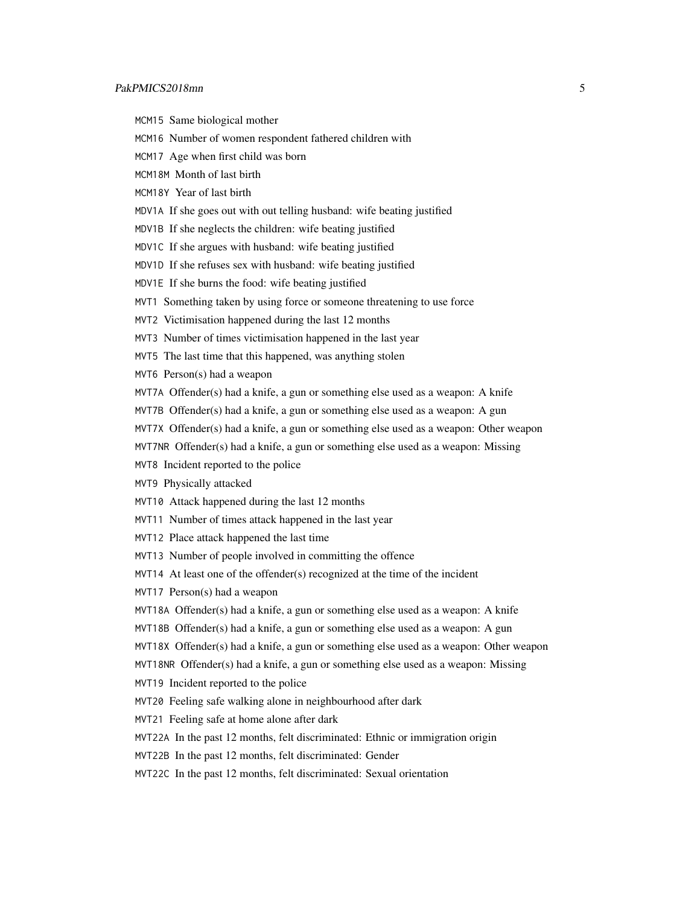- MCM15 Same biological mother
- MCM16 Number of women respondent fathered children with
- MCM17 Age when first child was born
- MCM18M Month of last birth
- MCM18Y Year of last birth
- MDV1A If she goes out with out telling husband: wife beating justified
- MDV1B If she neglects the children: wife beating justified
- MDV1C If she argues with husband: wife beating justified
- MDV1D If she refuses sex with husband: wife beating justified
- MDV1E If she burns the food: wife beating justified
- MVT1 Something taken by using force or someone threatening to use force
- MVT2 Victimisation happened during the last 12 months
- MVT3 Number of times victimisation happened in the last year
- MVT5 The last time that this happened, was anything stolen
- MVT6 Person(s) had a weapon
- MVT7A Offender(s) had a knife, a gun or something else used as a weapon: A knife
- MVT7B Offender(s) had a knife, a gun or something else used as a weapon: A gun
- MVT7X Offender(s) had a knife, a gun or something else used as a weapon: Other weapon
- MVT7NR Offender(s) had a knife, a gun or something else used as a weapon: Missing
- MVT8 Incident reported to the police
- MVT9 Physically attacked
- MVT10 Attack happened during the last 12 months
- MVT11 Number of times attack happened in the last year
- MVT12 Place attack happened the last time
- MVT13 Number of people involved in committing the offence
- MVT14 At least one of the offender(s) recognized at the time of the incident
- MVT17 Person(s) had a weapon
- MVT18A Offender(s) had a knife, a gun or something else used as a weapon: A knife
- MVT18B Offender(s) had a knife, a gun or something else used as a weapon: A gun
- MVT18X Offender(s) had a knife, a gun or something else used as a weapon: Other weapon
- MVT18NR Offender(s) had a knife, a gun or something else used as a weapon: Missing
- MVT19 Incident reported to the police
- MVT20 Feeling safe walking alone in neighbourhood after dark
- MVT21 Feeling safe at home alone after dark
- MVT22A In the past 12 months, felt discriminated: Ethnic or immigration origin
- MVT22B In the past 12 months, felt discriminated: Gender
- MVT22C In the past 12 months, felt discriminated: Sexual orientation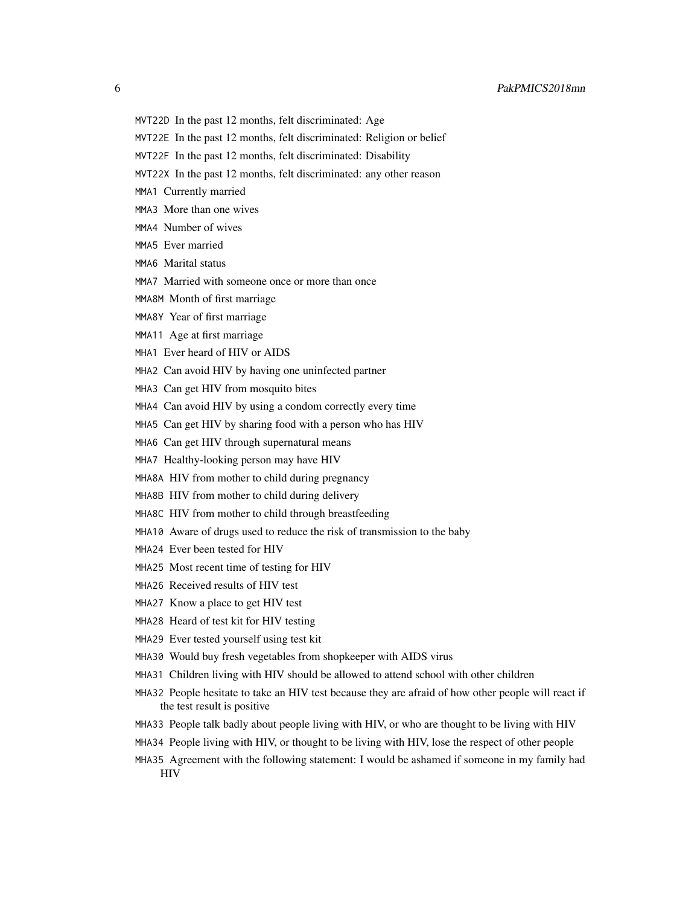- MVT22D In the past 12 months, felt discriminated: Age
- MVT22E In the past 12 months, felt discriminated: Religion or belief
- MVT22F In the past 12 months, felt discriminated: Disability
- MVT22X In the past 12 months, felt discriminated: any other reason
- MMA1 Currently married
- MMA3 More than one wives
- MMA4 Number of wives
- MMA5 Ever married
- MMA6 Marital status
- MMA7 Married with someone once or more than once
- MMA8M Month of first marriage
- MMA8Y Year of first marriage
- MMA11 Age at first marriage
- MHA1 Ever heard of HIV or AIDS
- MHA2 Can avoid HIV by having one uninfected partner
- MHA3 Can get HIV from mosquito bites
- MHA4 Can avoid HIV by using a condom correctly every time
- MHA5 Can get HIV by sharing food with a person who has HIV
- MHA6 Can get HIV through supernatural means
- MHA7 Healthy-looking person may have HIV
- MHA8A HIV from mother to child during pregnancy
- MHA8B HIV from mother to child during delivery
- MHA8C HIV from mother to child through breastfeeding
- MHA10 Aware of drugs used to reduce the risk of transmission to the baby
- MHA24 Ever been tested for HIV
- MHA25 Most recent time of testing for HIV
- MHA26 Received results of HIV test
- MHA27 Know a place to get HIV test
- MHA28 Heard of test kit for HIV testing
- MHA29 Ever tested yourself using test kit
- MHA30 Would buy fresh vegetables from shopkeeper with AIDS virus
- MHA31 Children living with HIV should be allowed to attend school with other children
- MHA32 People hesitate to take an HIV test because they are afraid of how other people will react if the test result is positive
- MHA33 People talk badly about people living with HIV, or who are thought to be living with HIV
- MHA34 People living with HIV, or thought to be living with HIV, lose the respect of other people
- MHA35 Agreement with the following statement: I would be ashamed if someone in my family had **HIV**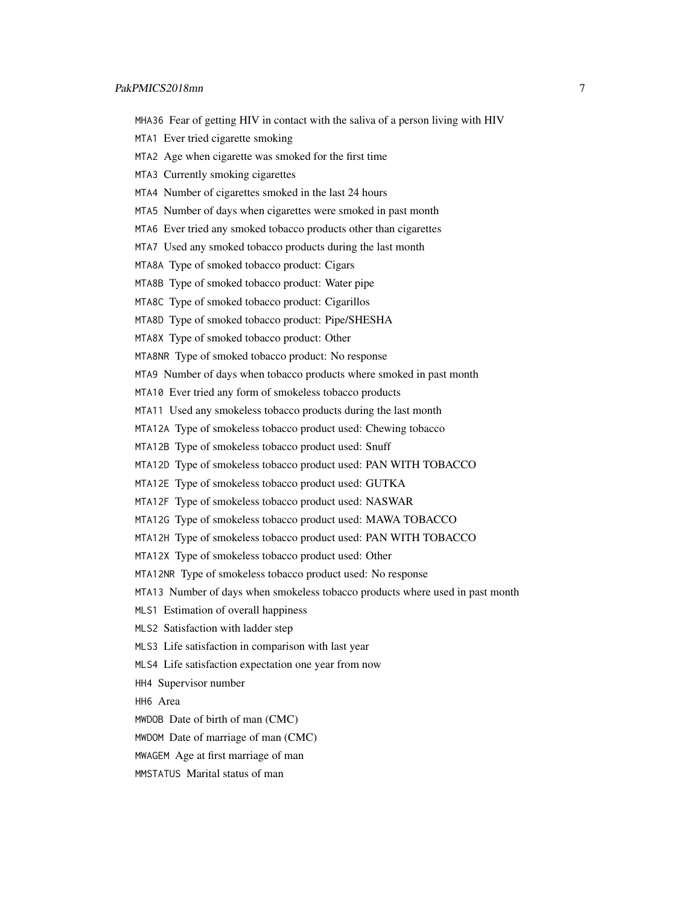- MHA36 Fear of getting HIV in contact with the saliva of a person living with HIV
- MTA1 Ever tried cigarette smoking
- MTA2 Age when cigarette was smoked for the first time
- MTA3 Currently smoking cigarettes
- MTA4 Number of cigarettes smoked in the last 24 hours
- MTA5 Number of days when cigarettes were smoked in past month
- MTA6 Ever tried any smoked tobacco products other than cigarettes
- MTA7 Used any smoked tobacco products during the last month
- MTA8A Type of smoked tobacco product: Cigars
- MTA8B Type of smoked tobacco product: Water pipe
- MTA8C Type of smoked tobacco product: Cigarillos
- MTA8D Type of smoked tobacco product: Pipe/SHESHA
- MTA8X Type of smoked tobacco product: Other
- MTA8NR Type of smoked tobacco product: No response
- MTA9 Number of days when tobacco products where smoked in past month
- MTA10 Ever tried any form of smokeless tobacco products
- MTA11 Used any smokeless tobacco products during the last month
- MTA12A Type of smokeless tobacco product used: Chewing tobacco
- MTA12B Type of smokeless tobacco product used: Snuff
- MTA12D Type of smokeless tobacco product used: PAN WITH TOBACCO
- MTA12E Type of smokeless tobacco product used: GUTKA
- MTA12F Type of smokeless tobacco product used: NASWAR
- MTA12G Type of smokeless tobacco product used: MAWA TOBACCO
- MTA12H Type of smokeless tobacco product used: PAN WITH TOBACCO
- MTA12X Type of smokeless tobacco product used: Other
- MTA12NR Type of smokeless tobacco product used: No response
- MTA13 Number of days when smokeless tobacco products where used in past month
- MLS1 Estimation of overall happiness
- MLS2 Satisfaction with ladder step
- MLS3 Life satisfaction in comparison with last year
- MLS4 Life satisfaction expectation one year from now
- HH4 Supervisor number
- HH6 Area
- MWDOB Date of birth of man (CMC)
- MWDOM Date of marriage of man (CMC)
- MWAGEM Age at first marriage of man
- MMSTATUS Marital status of man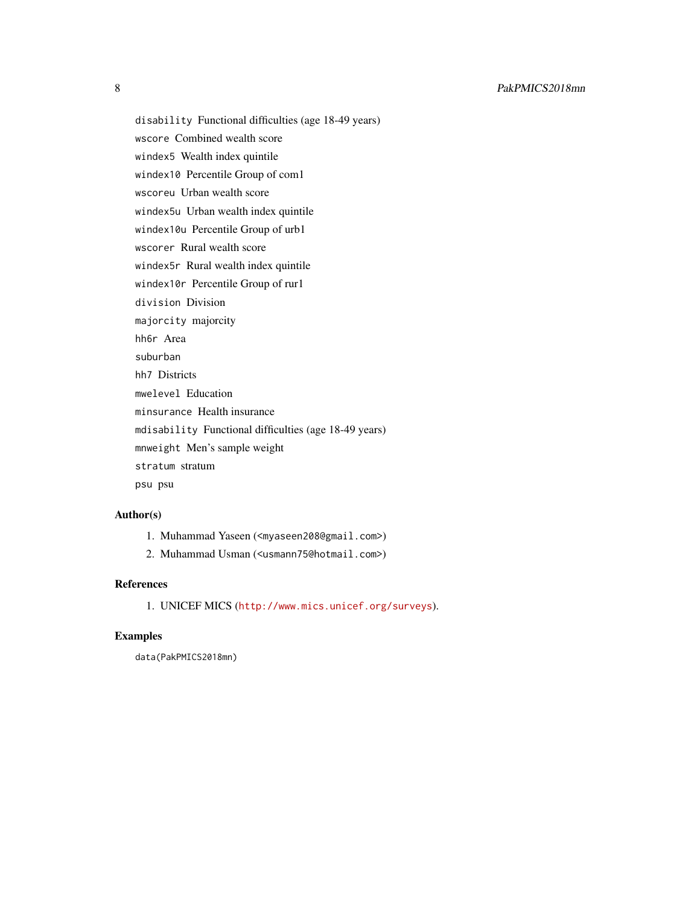disability Functional difficulties (age 18-49 years) wscore Combined wealth score windex5 Wealth index quintile windex10 Percentile Group of com1 wscoreu Urban wealth score windex5u Urban wealth index quintile windex10u Percentile Group of urb1 wscorer Rural wealth score windex5r Rural wealth index quintile windex10r Percentile Group of rur1 division Division majorcity majorcity hh6r Area suburban hh7 Districts mwelevel Education minsurance Health insurance mdisability Functional difficulties (age 18-49 years) mnweight Men's sample weight stratum stratum psu psu

#### Author(s)

- 1. Muhammad Yaseen (<myaseen208@gmail.com>)
- 2. Muhammad Usman (<usmann75@hotmail.com>)

#### References

1. UNICEF MICS (<http://www.mics.unicef.org/surveys>).

#### Examples

data(PakPMICS2018mn)